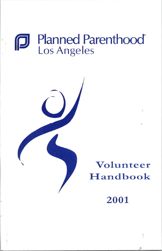# Planned Parenthood' Los Angeles



# **Volunteer**  Handbook

**2001** 

t,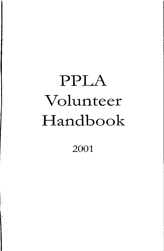# PPLA Volunteer Handbook

2001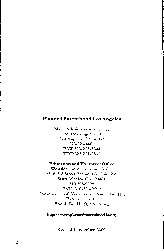### **Planned Parenthood Los Angeles**

Main Administration Office 1920 Marengo Street Los Angeles, CA 90033 323-223-4462 FAX 323-225-5844 TDD 323-221-2532

#### Education and Volunteer Office

Westside Administrative Office 1316 3rd Street Promenade, Suite B-5 Santa Monica, CA 90401 310-395-0098 FAX 310-393-9529 Coordinator of Volunteers: Bonnie Bricklin Extension 3511 Bonnie.Bricklin@PP-LA.org

#### **http:/ /www.plannedparenthood-la.oig**

i ..

Revised November 2000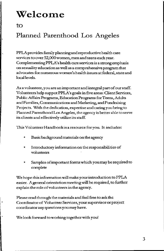# **Welcome**

I-

### Planned Parenthood Los Angeles

PPLA provides family planningandreproductivehealth care **services to over 52,000women, men and teens each year.**  Complementing PPLA's health care services is a strong emphasis **on sexuality education as well as a comprehensive program that advocates for numerous women's health issues at federal, state and**  local levels.

**As a volunteer, you are an important and integral part of our staff.**  Volunteers help suppot PPLA's goals in five areas: Client Services, Public Affairs Programs, Education Programs for Teens, Adults andFarnilies,CommunicationsandMarketing,andFundraising **Projects. With the dedication, expertise and caring you bring to**  Planned Parenthood Los Angeles, the agency is better able to serve **its clients and effectively utilize its staff.** 

**This Volunteer Handbook is a resource for you. It includes:** 

- Basic background materials on the agency
- **Introductory information on the responsibilities of volunteers**
- Samples of important forms which you may be required to complete

We hope this information will make your introduction to PPLA easier. A general orientationmeetingwill be required, to further explain theroleofvolunteersin the agency.

Please read through the materials and feel free to ask the **Coordinator of Volunteer Services, your supervisor or project coordinator any questions you may have.** 

We look forward to working together with you!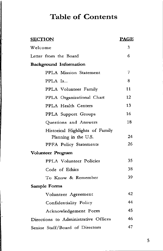# **Table of Contents**

| <b>SECTION</b>                       | <u>PAGE</u> |
|--------------------------------------|-------------|
| Welcome                              | 3           |
| Letter from the Board                | 6           |
| <b>Background Information</b>        |             |
| PPLA Mission Statement               | 7           |
| PPLA Is                              | 8           |
| PPLA Volunteer Family                | 11          |
| PPLA Organizational Chart            | 12          |
| PPLA Health Centers                  | 13          |
| PPLA Support Groups                  | 16          |
| Questions and Answers                | 18          |
| Historical Highlights of Family      |             |
| Planning in the U.S.                 | 24          |
| PPFA Policy Statements               | 26          |
| Volunteer Program                    |             |
| PPLA Volunteer Policies              | 35          |
| Code of Ethics                       | 38          |
| To Know & Remember                   | 39          |
| Sample Forms                         |             |
| Volunteer Agreement                  | 42          |
| Confidentiality Policy               | 44          |
| Acknowledgement Form                 | 45          |
| Directions to Administrative Offices | 46          |
| Senior Staff/Board of Directors      | 47          |

.

 $\ddot{\phantom{a}}$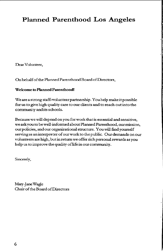### **Planned Parenthood Los Angeles**

**Dear Volunteer,** 

On behalf of the Planned Parenthood Board of Directors,

#### **Welcome to Planned Parenthood!**

We are a strong staff-volunteer partnership. Y ouhelp make it possible **for us to give high quality care to our clients and to reach out into the**  community andits schools.

**Because we will depend on you for work that is essential and sensitive,**  we ask you to be well-informed about Planned Parenthood, our mission, our policies, and our organizational structure. You will find yourself **serving as an interpreter of our work to the public. Our demands on our volunteers are high, but in return we offer rich personal rewards as you**  help us to improve the quality of life in our community.

Sincerely,

Mary-Jane Wagle **Chair of the Board of Di.rectors**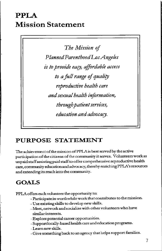# **PPLA Mission Statement**

*The Mission of Planned Parenthood Los Angeles is to provide easy, affordable access to a full range of quality reproductive health care and sexual health information, through patient services, education and advocary.* 

### **PURPOSE STATEMENT**

**The achievement of the mission ofPPLAis best served by the active participation of the citizens of the community it serves. Volunteers work as unpaid staff assisting paid staff to offer comprehensive reproductive health care, community education and advocacy; thereby enriching PPLA's resources and extending its reach into the community.** 

### **GOALS**

I.

PPLA offers each volunteer the opportunity to:

- **Participate in worthwhile work that contributes to the mission.**
- **Use existing skills to develop new skills.**
- **Meet, network and socialize with other volunteers who have similar interests.**
- -Explore potential career opportunities.
- Support locally-based health care and education programs.
- **-Learnnewskills.**
- Give something back to an agency that helps support families.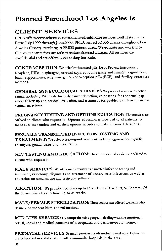### **Planned Parenthood Los Angeles is**

### **CLIENT SERVICES**

PPIA offers comprehensive reproductive health care services to all ofits clients. From July 1999 through June 2000, PPL.A served 52,056 clients thoughout Los Angeles County, resulting in 99,830 patient visits. We educate and work with Clients to ensure they are able to make informed choices. All services are confidential and ate offered on a sliding fee scale.

**CONTRACEPTION:** We offer birth control pills, Depa Provera (injections), Norplant, IUDs, diaphragms, cervical caps, condoms (male and female), vaginal film, foam, suppositories, jelly, emergency contraception pills (ECP), and fertility awareness methods.

**GENERAL GYNECOLOGICAL** SERVICES:Weprovidebreastexams,pelvic exams, including PAP tests for early cancer detection, colposcopy for abnormal pap smear follow up and cervical evaluation, and treatment for problems such as persistent vaginal infections.

**PREGNANCY TESTING AND OPTIONS EDUCATION:Theseservicesare**  offered to clients who request it. Options education is provided to all patients to make sure they understand all their options in order to make informed decisions.

**SEXUALLY TRANSMITTED INFECTION TESTING AND**  TREATMENT: We offer screening and treatment for herpes, gonorrhea, syphilis, chlamydia, genital warts and other STI's.

**HIV TESTING AND EDUCATION:** These confidential services are offered to clients who request it.

**MALE SERVICES:** We offer men sexually transmitted infection testing and treatment, vasectomy, diagnosis and treatment of urinary tract infections, as well as education on condom use and testicular self-exam.

**ABORTION:** We provide abortions up to 16 weeks at all five Surgical Centers. Of the 5, one provides abortions up to 24 weeks.

**MALE/FEMALE STERILIZATION:** These services are offered *to* clients who desire a permanent birth control method.

**MID LIFE SERVICES:** A comprehensive program dealing with the emotional, sexual, social and medical concerns of menopausal and perimenopausal women.

**PRENATAL SERVICES:** Prenatal services are offered at limited sites. Deliveries are scheduled in collaboration with community hospitals in the area.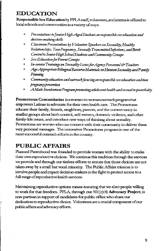### **EDUCATION**

**Responsible Sex Education** by PPIAsmff; volunteers, andinterns is offered to **kx:alschoolsandcommunitiesinavarietyofways:** 

- *Presentations to Junior High-Aged Students on respon.rible sex education and decision-making skills*
- Classroom Presentations by Volunteer Speakers on Sexuality, Healthy *&lationships, Teen Pregnanq, Sexual!JTransmittedlnftctions, and Birth Control to Senior High S choolStudents and Communi!J Groups*
- *Sex Education for Parent Groups*   $\bullet$
- *In-service Trainings on Sexuality Issues for Agency Personnel & Teachers*  $\bullet$
- Age-Appropriate Bilingual Resource Materials on Human Sexuality and Family  $\bullet$ *Planning*
- *Community education and outreach focusing on respon.rib/e sex education and teen pngnamypnvention*
- *A Male-Involvement Program promoting adolescent health and sexual responsibility*

**Promotoras Comunitarias is a wc:cnan-to-worm.noutreach program.that**  empowers Latinas to advocate for their own health care. The Promotoras educate their family, friends, neighbors, parents, and the commmunity in smaller groups about birth control, self-esteem, domestic violence, and other family-life issues, and introduce new ways of thinking about sexuality. **Promotoras are women who can connect with their camrmmity to deliver these**  very personal messages. The innovative Promotoras program is one of the most successful outreach efforts in the country.

### **PUBLIC AFFAIRS**

Planned Parenthood was founded to provide women with the ahility to make their own reproductive choices. We continue this tradition through the services we provide and through our tireless efforts to ensure that those choices are not taken away by a small but vocal minority. The Public Affairs mission is to involve people and impact decision-makers in the fight to protect access to a full range ofreproductive health services.

Maintaining reproductive options means ensuring that we elect people willing to work for that freedom PPLA, through our 501( c)( 4) **Advocacy Project,** is non-partisan in support of candidates for public office who share our **dedication toreprocluct:ive choice. Volunteers are a crucial conponent of our**  public affairs and advocacy efforts.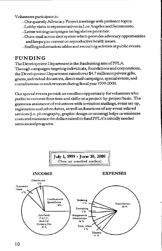Volunteers participate in:

- Our quartely Advocacy Project meetings with pertinent topics.
- Lobby visits to representatives in Los Angeles and Sacramento.
- Letter writing campaigns on legislative priorities.
- Our e-mail action alert system which provides advocacy opportunities and keeps you current on reproductive health issues.
- Staffinginformation tables and recruiting activists at public events.

### **FUNDING**

The Development Department is the fundraising arm of PPLA. Through campaigns targeting individuals, foundations and corporations, the Development Department raised over \$4. 7 million in private gifts, grants,individual donations, direct mail campaigns, special events, and contributions to endowments during fiscal year 1999-2000.

Our special events provide an excellent opportunity for volunteers who prefer to commit their time and skills on a project-by-project basis. The generous assistance of volunteers with invitation mailings, event set-up, registration and other duties, as well as donations of any event-related services (i.e. photography, graphic design or catering) helps us minimize costs and maximize the dollars raised to fund PPLA's critcally needed services and programs.

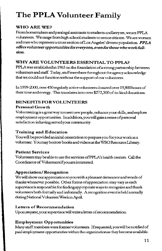# **The PPLA Volunteer Family**

### **WHOAREWE?**

Fromhomemakers and paralegal assistants to students and lawyers, we are PPLA volunteers. We range from high school students to senior citizens. Weare women and men who represent a cross section of Los Angeles' diverse population. PPLA *offers volunteeropportunitiesforeve.ryone, even for those who workful/ time.* 

### WHY ARE VOLUNTEERS ESSENTIAL TO PPLA?

PPLA was established in 1965 on the foundation of a strong partnership between volunteers and staff. Today, staff members throughout the agency acknowledge that we could not function without the support of our volunteers.

In 1999-2000, over 450 regularly active volunteers donated over 19,800 hours of their time and energy. This translates into over \$272,300 of in-kind donations.

### **BENEFITS FOR VOLUNTEERS**

### Personal Growth

Volunteering is a great way to meet new people, enhance your skills, and explore employment opportunities. In addition, you will gain a sense of personal satisfaction inhaving served your community.

### Training and Education

You will be provided an inital orientation to prepare you for your work as a volunteer. Y oumay borrow books and videos at the WSO Resource Library.

### Patient Services

Volunteers may be able tousethesetvices ofPPLA's health centers. Call the CoordinatorofVolunteersifyouareinterested

### **Appreciation/ Recognition**

We will show our appreciation to you with a pleasant demeanor and words of thanks whenever possible. Othet fonns ofappreciation may vary as each supetvisoris responsible for findingappropriateways to recognize and thank volunteers both fonnally and infonnally. Arecognitioneventis held annually duringNationa!VolunteetWeekinApril

### Letters of Recommendation

Uponrequest,yoursupetvisorwillwritealetterofrecommendation.

### **Employment Opportunities**

Many staff members were former volunteers. If requested, you will be notified of paid employment opportunities within the organization as they become available.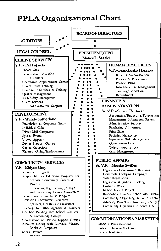# PPLA Organizational Chart

|                                                                   | <b>BOARD OF DIRECTORS</b> |                                                                                        |
|-------------------------------------------------------------------|---------------------------|----------------------------------------------------------------------------------------|
| <b>AUDITORS</b>                                                   |                           |                                                                                        |
|                                                                   |                           |                                                                                        |
| <b>LEGALCOUNSEL</b>                                               | PRESIDENT/CEO             |                                                                                        |
| <b>CLIENT SERVICES</b>                                            | Nancy L. Sasaki           |                                                                                        |
| V.P. - Pat Fajardo                                                |                           | <b>HUMAN RESOURCES</b>                                                                 |
| Patient Care                                                      |                           | V.P. - Francheska Hannon                                                               |
| Preventative Education                                            |                           | Benefits Administration                                                                |
| Health Centers                                                    |                           | Policies & Procedures                                                                  |
| Centralized Appointment Center                                    |                           | Pension Plans                                                                          |
| Clinical Staff Training                                           |                           | Insurance/Risk Management                                                              |
| Clinician In-Services & Training                                  |                           | Training/Education                                                                     |
| Quality Management                                                |                           | Recruitment                                                                            |
| Risk/Safety Management                                            |                           | <b>FINANCE &amp;</b>                                                                   |
| Client Services<br>Administrative Support                         |                           | <b>ADMINISTRATION</b>                                                                  |
|                                                                   |                           |                                                                                        |
| <b>DEVELOPMENT</b>                                                |                           | Sr. V.P. - Steven Emmert                                                               |
|                                                                   |                           | Accounting/Budgeting/Forecasting                                                       |
| V.P. - Wendy Sutherland                                           |                           | Management Information System                                                          |
| Foundation & Corporate Grants                                     |                           | Administrative Support                                                                 |
| Individual Gifts                                                  |                           | Purchasing / Inventory                                                                 |
| Direct Mail Campaigns                                             |                           | Print Shop<br>Facilities Management                                                    |
| Special Events<br>United Appeals                                  |                           | Insurance/ Risk Management                                                             |
| Donor Support Groups                                              |                           | Government Grants                                                                      |
|                                                                   |                           |                                                                                        |
|                                                                   |                           |                                                                                        |
| Capital Campaigns                                                 |                           | Telecommunications                                                                     |
| Planned Giving/Endowments                                         |                           | Cash Management                                                                        |
|                                                                   |                           | <b>PUBLIC AFFAIRS</b>                                                                  |
| <b>COMMUNITY SERVICES</b>                                         | ۰<br>$\bullet$            | Sr. V.P. - Martha Swiller                                                              |
| V.P. - Eldyne Gray                                                |                           | Legislative / Government Relations                                                     |
| Volunteer Program                                                 |                           | Grassroots Lobbying Campaigns                                                          |
| Responsible Sex Education Programs for                            |                           | Voter Registration                                                                     |
| Schools, Community Groups &                                       |                           | Legislative & Judicial Tracking                                                        |
| Parents                                                           |                           | Coalition Work                                                                         |
| - Including High School, Jr. High                                 |                           | Million Names Project                                                                  |
| and Elementary School Curriculum                                  |                           | Responsible Choices Action Alert Netwo                                                 |
| Promotoras Comunitarias Program<br>Education Committee: Volunteer |                           | Community Organizing in South Central                                                  |
| Speakers, Health Fair Facilitators                                |                           | Advocacy Project (electoral arm) - 501(C)                                              |
| Trainings for Other Agencies & Teachers                           |                           | Community Organizing in South L.A.                                                     |
| Coalition Building with School Districts                          |                           |                                                                                        |
| & Community Groups                                                |                           |                                                                                        |
| Coordination of PPLA's Support Groups                             |                           |                                                                                        |
| Resource Library with Curricula, Videos,                          |                           | Media / Press Relations                                                                |
| Books & Pamphlets<br>Special Events                               |                           | <b>COMMUNICATIONS&amp; MARKETIN</b><br>Public Relations/Marketing<br>Patient Marketing |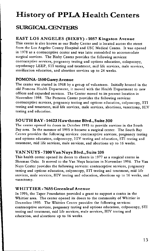# History of PPLA Health Centers

### **SURGICALCENIERS**

### EAST LOS ANGELES **(BIXBY)** -1057 Kingston Avenue

This center is also known as our Bixby Center and is located across the street from the Los Angeles County Hospital and USC Medical Center. It was opened in 1978 as a contraceptive center and was later remodeled to accommodate surgical services. The Bixby Center provides the following services: contraceptive services, pregnancy testing and options education, colopscopy, cryotherapy LEEP, STI testing and treatment, mid life services, male services, sterilization education, and abortion services up to 24 weeks.

### POMONA-1550Garey Avenue

The center was started in 1968 by a group of volunteers. Initially housed in the old Pomona Health Department, it moved with the Health Department to new offices and expanded services. The Center moved to its present location in November 1998. The Pomona Center provides the following services: contraceptive services, pregnancy testing and options education, colposcopy, STI testing and treatment, mid life services, male services, abortions, vasectomy, HIV testing and education.

### SOUTH BAY -14623 Hawthorne Blvd., Suite 300

The center opened its doors in October 1993 to provide services in the South Bay area. In the summer of 1995 it became a surgical center. The South Bay Center provides the following services: contraceptive services, pregnancy testing and options education, colposcopy, HIV testing and education, STI testing and treatment, mid life services, male services, and abortions up to 16 weeks.

### VAN NUYS -7100Van Nuys Blvd., Suite 108

This health center opened its doors to clients in 1977 as a surgical center in Sherman Oaks. It moved to the Van Nuys location in November 1996. The Van Nuys Center provides the following services: contraceptive services, pregnancy testing and options education, colposcopy, STI testing and treatment, mid life services, male services, HIV testing and education, abortions up to 16 weeks, and vasectomy.

### WHITTIER-7655 Greenleaf Avenue

In 1995, the Taper Foundation provided a grant to support a center in the Whittier area. The center opened its doors to the community of Whittier in December 1995. The Whittier Center provides the following services: contraceptive services, pregnancy testing and options education, colposcopy, STI testing and treatment, mid life services, male services, HIV testing and education, and abortions up to 16 weeks.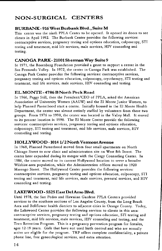### NON-SURGICAL CENTERS

### BURBANK- 916 West Burbank Blvd., Suite M

This center was the ninth PPLA Center to be opened. It opened its doors to see clients in April 1992. The Burbank Center provides the following services: contraceptive services, pregnancy testing and options education, colposcopy, STI testing and treatment, mid life services, male services, HIV counseling and testing.

### CANOGA PARK- 21001 Sherman Way Suite 9

In 1971, the Rosenberg Foundation provided a grant to support a center in the San Fernando Valley. In 1972, the center in Canoga Park was established. The Canoga Park Center provides the following services: contraceptive services, pregnancy testing and options education, colposcopy, cryotherapy, STI testing and treatment, mid life services, male services, HIV counseling and testing.

### EL MONTE - 4786 B North Peck Road

In 1966, Peggy Still, then the President/CEO of PPLA, asked the American Association of University Women (AAUW) and the El Monte Junior Women, to help Planned Parenthood start a center. Initially housed in the El Monte Health Department, the center was almost entirely staffed by volunteers from these two groups. From 1976 to 1990, the center was located in the Valley Mall. It moved to its present location in 1990. The El Monte Center provide the following services: contraceptives services, pregnancy testing and options education, colposcopy, STI testing and treatment, mid life services, male services, HIV counseling and testing.

### HOLLYWOOD-10141/2North VennontAvenue

In 1968, Planned Parenthood moved from four small apartments on North Chicago Street to new clinic and administration site on West 8th Street. The center later expanded during its merger with the Clergy Counseling Center. In 1986, the center moved to its current Hollywood location to serve a broader Wilshire-area population, while the Administration offices moved to 1920 Marengo Street. The Hollywood Center provides the following services: contraceptive services, pregnancy testing and options education, colposcopy, STI testing and treatment, mid life services, male services, prenatal services, and HIV counseling and testing.

### IAKEWOOD-5525 EastDelAmo Blvd.

Until 1978, the San Pedro and Hawaiian Gardens PPLA Centers provided services to the southern sections of Los Angeles County, from the Long Beach Area and Bellflower health districts to adjacent cities in Orange County. Today, the Lakewood Center provides the following services to clients in this area: contraceptive services, pregnancy testing and options education, STI testing and treatment, mid life services, male services, HIV counseling and testing, and the Teen Retention Program. This is a pregnancy prevention program for females, ages 12-19 years. Girls that have not used birth control and who are sexually active are eligble for the program. TRP offers complete confidentiality, a private phone line, free gynecological services, and extra attention.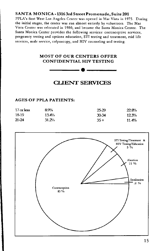### SANTA MONICA-13163rd Street Promenade, Suite 201

PPLA's first West Los Angeles Center was opened in Mar Vista in 1975. During the initial stages, the center was run almost entirely by volunteers. The Mar Vista Center was relocated in 1980, and became the Santa Monica Center. The Santa Monica Center provides the following services: contraceptive services, pregnancy testing and options education, STI testing and treatment, mid life services, male service, colposcopy, and HIV counseling and testing.

### MOST OF OUR CENTERS OFFER CONFIDENTIAL HIV TESTING -----•-----

### **CLIENT SERVICES**

#### AGES OF PPLA PATIENTS:

| $17$ or less | 8.9%  | 25-29     | 22.8% |
|--------------|-------|-----------|-------|
| 18-19        | 13.4% | $30 - 34$ | 12.3% |
| 2024         | 31.2% | $35 +$    | 11.4% |

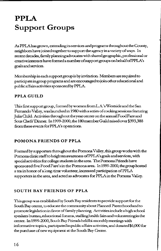# **PPLA Support Groups**

As PPLA has grown, extending its services and programs throughout the County, neighbors have joined together to support the agency in a variety of ways. In recent decades, family planning advocates with shared geographic, professional or creativeinterestshavefonnedanumberofsupportgroupsonbehalfofPPLA's goals and services.

Membership in each support group is by invitation. Members are required to participateingroup programs and are encouraged to join other educational and public affairs activities sponsored by PPLA.

### **PPLAGUILD**

This first support group, formed by women from L.A.'s Westside and the San Fernando Valley, was launched in 1980with a series of cooking sessions featuring Julia Child. Activities throughout the year center on the annual Food Fare and Sous O,efs' Dinner. In 1999-2000, the 180memberGuildraisedover\$393,388 **from these events for PPLA's operations.** 

### **POMONA FRIENDS OF PPLA**

Formed by supporters throughout the Pomona Valley, this group works with the PomonaclinicstafftoheightenawarenessofPPLA'sgoalsandservices,with **special activities for college students in the area. Tue Pomona Friends have**  sponsored five Food Fare's in the Pomona area. In 1999-2000, the group hosted a tea in honor of a long-time volunteer, increased participation of PPLA supporters in the area, and acted as advocates for PPLAin the Pomona Valley.

### **SOUTH BAY FRIENDS OF PPLA**

This group was established by South Bay residents to provide support for the South Bay center, to educate the community about Planned Parenthood and to promote legislation in favor of family planning. Activities include a high school speakers bureau, educational forums, staffing health fairs and volunteeringin the center. In 1999-2000, South Bay Friends held bi-monthly meetings with informative topics, partcipatedin public affairs activities, and donated\$6,000 for the purchase of new equipment at the South Bay Center.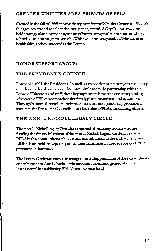### **GREATER WHITTIER AREA FRIENDS OF PPLA**

Created in the fall of 1995 to provide support for the Whittier Center, in 1999-00 this group wrote editorials to the local paper, attended City Council meetings, held strategy planning meetings in an effort to bring the Promotoras and high school education programs into the Whittier community, staffed Whittier-area health fairs, and volunteered at the Center.

### **DONOR SUPPORT GROUP:**

### **THE PRESIDENT'S COUNCIL**

Fonnedin 1991, the President's Councilis amajordonorsupportgroupmadeup of influential local business and community leaders. In partnership with our BoardofDirectors and staff, these key supporters have become sttongandloyal advocates of PPLA's comprehensive family planning services and education. Through bi-annual, members-only receptions featuring nationally prominent speakers, the President's Council plays a key role in PPLA's fundraising efforts.

### **THE ANN L. NICKOLL LEGACY CIRCLE**

The Ann L. Nickoll legacy Circle is composed of visionary leaders who are funding the future. Members of the Ann L. Nickoll Legacy Circle have named PPLAin their estate plans or have made contributions to the endowment fund AllfundsareheldinperpetuityandtheannualinterestisusedtosupportPPLA's programs and services.

The Legacy Circle was named in recognition and appreciation of the extraordinary contributions of Ann L. Nickoll whose commitment and generosity were insttumentalinestablishingPPLA's endowment fund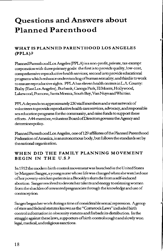# **Questions and Answers about Planned Parenthood**

### **WHAT IS PLANNED PARENTHOOD LOS ANGELES (PPLA)?**

Planned ParenthoodLosAngeles (PPLA) is anon-profit, private, rax-exernpt corporation with three primary goals: the first is toprovidequality,low-cost, comprehensive reproductive health services; second is to provide educational programs which enhance understandingofhurnan sexuality; and third is to work to ensure reproductive rights. PPLA has eleven health centers in L.A. County: Bixby (EastLosAngeles),Burbank, Canoga Park, *El* Monte, Hollywood, Lakewood,Pomona,SantaMonica,SouthBay,VanNuysandWhittier.

PPLA depends on approximately 230 staffmembers and a vast network of volunteers to provide reproductive health care services, advocacy, and responsible sex education programs for the community, and raise funds to support these efforts. A44-member, volunteer BoardofDirectors governs the Agency and determines policy.

Planned Parenthood Los Angeles, one of 129 affiliates of the Planned Parenthood FederationofAmerica,is an autonomous body, but follows the standards set by **the national organization.** 

### **WHEN DID THE FAMILY PLANNING MOVEMENT BEGIN IN THE U.S.?**

In 1912 the modern birth controlmovernentwaslaunchedin the United States by Margaret Sanger, a youngnursewhoselifewas changed when she watched one ofherpoverty-strickenpatientsinaBrooklynslumdiefrornaself-induced abortion. Sanger resolved to devote her talents and energy to releasing women from the shackles of unwanted pregnancies through the knowledge and use of **contraception.** 

Sanger began her work during a time of considerable sexual repression. A group of state and federal statutes known as the "Comstockl.aws" included birth control information in obscenity statutes and forbade its distribution. In the struggle against these laws, supporters ofbirth control sought and slowly won legal, medical, and religious sanctions.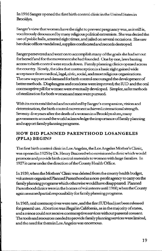In 1916 Sanger opened the first birth control clinic in the United States in Brooklyn

Sanger's view that women have the right to prevent pregnancy was, as it still is, vociferously denounced by many religious political extremists. She was denied the use of public halls, arrested eight times, and jailed on several occasions. She saw her clinic offices vandalized, supplies confiscated and records destroyed.

Sangerperseveredandwentontoaccomplishmanyofthegoalsshehadsetout for herself and for the movement she had founded One by one, laws barring access to birth control were struck down. Family planning clinics opened across the country. Slowly, the idea that contraception is a basic right gained wide acceptance from medical, legal, civic, social, andmostreligious organizations. The new support and demand for birth control encouraged the development of better methods. Diaphragms and condoms were improved; the IUD and the oral contraceptive pill for wornen were eventually developed. Simpler, safer methods **of sterilization for both women and men were pursued** 

With its roots established and nourished by Sanger's compassion, vision and determination, the birth control movement achieved international strength. Seventy-five years after the death of a woman in a Brooklyn slum, many governments around the world acknowledge the importance of family planning and support family planning programs.

### **HOW DID PLANNED PARENTHOOD LOSANGELES (PPLA) BEGIN?**

The first birth control clinic in Los Angeles, the Los Angeles Mother's Clinic, was openedin 1925 by Dr. Henry Brainerd who envisioned a clinic which would promote and provide birth control materials to women with large families. In 1927 it came under the direction of the County Health Office.

In 1939, when the Mothers' Oinicwas deleted from the county health budget, volunteers organizedPlannedPatenthoodas anon-profit agency tocany on the family planning programs which otherwise would have disappeared. Planned Patenthoodclinics werein the homes of volunteers until 1960, when the County again assumed partial responsibility for family planning programs.

ln1965,oralcontraceptiveswerenew,andthefirstlUDhadjustbeenreleased for general use. Abortion was illegal in California, as in the majority of states, and a minor could not receive contraceptive services without parental consent. The tools and resources needed to provide family planning services were limited, **and the need for them in Los Angeles was enormous.**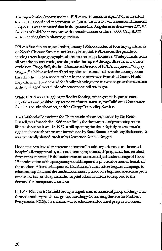The organization known today as PPLA was foundedinApril 1965inaneffort **to meet this need and to serve as a catalyst to attract new volunteers and financial**  support. It was estimated that in the greater Los Angeles area there were 200,000 fumilies of child-bearingyears with annual incomes under\$4,000. Only 8,000 were receiving family planning services.

PPLA's first clinic site, aquiredin January 1966, consisted of four tiny apartments on North Chicago Street, near County Hospital. PPLA faced the puzzle of serving a very large geographical area from a single location. While patients from all over the county could, and did, make the trip to Chicago Street, many others couldnot. Peggy Still, the first Executive Director of PPLA, acquireda "Gypsy **Wagon," which cattiedstaff andsupplies to <sup>0</sup> clinics 11 all over the county, some**  based in church basements, others in space borrowed from the County Health Department. The demand for family planning services was so great that sessions at the Chicago Street clinic often went on until midnight.

While PPLA was struggling to findits footing, other groups began to exert significant and positive impact on our future; such as, the California Committee for Therapeutic Abortion, and the Clergy Counseling Service.

The California Connnittee farTherapeuticAbortion, headed by Dr. Keith Russell, was founded in 1966 specifically forthepwpose of promoting more liberal abortion laws. In 1967, a bill opening the doorsligbtly toa woman's rigbttochooseabortion was introduced by State Senator Anthony Bielenson It was eventually signed into law by Governor Ronald Reagan.

Under the new law, a "therapeutic abortion" could be performed in a licensed hospital afterapprowl by a committee of physicians, IF pregnancy had resulted from rape or incest, IF the patientwas an unmarried girl under the age ofl 5, or IF continuation of the pregnancywouldimpair the physical or mental health of the mother. After the bill passed, Dr. Russell's committee began a campaign to educate the public and the medical community aboutthelegal and medical aspects of the new law, and to persuade hospital administrators to respond to the demand for therapeutic abortions.

In 1968, Elizabeth Canfield brought together an ecumenical group of clergy who formed another pro-choice group, the Clergy Counseling Service for Problem Pregnancies (CCS). Its mission was to educate and counsel pregnant women.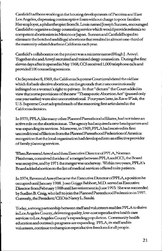Canfield had been working in the housing developments of Pacoima and East Los Angeles, dispensing contraceptive foam without charge to poor families. Her employer, a philanthropist from St. Louis named Joseph Sunnen, encouraged Canfield to organize a clergy counselingservicewhich would providerefertals to competent abortionists in Mexico or Japan. Sunnen and Canfield hoped to , eliminate the botchedandillegal abortions thatresultedin almost one-third of thematemity-relateddeathsinCalifomiaeachyear.

Canfield's collaborator on the project was a minister named Hugh J. Anwyl. Together she and Anwyl recruited and trained clergy counselors. During the first eleven days after it opened in May 1968, CCS received 1,000 telephone calls and provided 100 counseling sessions.

On September 8, 1969, the CalifomiaSupremeCourtinvalidated theoldlaw which forbade elective abortion, on the grounds thatitunconstitutionally **infi:ingedonawoman'srighttoprivacy. Inthat"dictum"theCourtaddedits**  view that some provisions of the new "Therapeutic Abortion Act" (passed only one year earlier) were also unconstitutional. Four years later, in Roe vs Wade, the U.S. Supreme Court adopted much of the reasoning first articulated in the California decision.

In 1970, PPLA, like many other Planned Parenthood affiliates, had not taken an **active role on the abortionissue. The agency had acquired anew headquarters and was expandingits services. Moreover,in 1969, PPLAhadreceivedits first**  unconditional affiliation from the Planned Parenthood Federation of America: recognition that the local organizationhaddevelopedinto an effective provider of family planning services.

WhenReverendAnwylandthenExecutiveDirectorofFPLA,Norman Fleishman, conceived the idea of a merger betweenPPLAand CCS, the Board wasreceptive,andby1971 themergerwasunderway. Withintwoyears,PPLA's Board added abortion to the list of medical services offered to its patients.

In1974,ReverendAnwylbecametheExecutiveDirectorofPPLA,apositionhe occupied until January 1988. Joan Griggs Babbott, MD. served as Executive Director from February 1988 until her retirement in June 1993. She was succeeded by SuellenB. Craig, who left to join the Planned ParenthoodFederationin 1997. Gurrently, the President/CEO is Nancy L. Sasaki.

Today, a strong partnership between staff and volunteers enables PPLA to thrive in Los Angeles County, delivering quality, low-cost reproductive health care services to Los Angeles County's expandingpopulation. Community health education and outreach programs are expanding. PPLA,its staff and its **volunteers, continue to championreproductive freedomforall people.**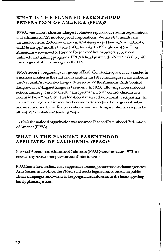### **WHAT IS THE PLANNED PARENTHOOD FEDERATION OF AMERICA (PPFA)?**

PPFA, the nation's oldest and largest volunteer reproductive health organization, is a federation of 129 not-for-profit corporations. We have 875 health care centerslocatedin250communitiesin47states(exceptHawaii,NorthDakota, and Mississippi) and the District of Columbia. In 1999, almost 4. 9 million Americans were served by PlannedParenthoodhealth centers, educational outreach, and training programs. PPFA is headquartered in New York City, with three regional offices throughout the U.S.

•

PPFA traces its beginnings to a group ofBirth Control Leagues, which existed in a number of cities at the start of this century. In 1917, theLeaguesweteunifiedas the National Birth Control League (later renamed the American Birth Control League), with Margaret Sanger as President. In 1923, following successful court action, the League established the firstpennanent birth control clinic in two rooms in New York City. This location also served as national headquarters. In the succeeding years, birth control became more accepted by the general public and was endorsed by medical, educational and health organizations, as well as by all major Protestant and Jewish groups.

In 1942, the national organization was renamedPlannedPatenthoodFedetation ofAmerica(PPFA).

### **WHAT IS THE PLANNED PARENTHOOD AFFILIATES OF CALIFORNIA (PPAC)?**

Planned Parenthood Affiliates of California (PPAC) was formed in 1973 as a council to provide strength in areas ofjointintetest.

PPAC aims for a unified, active approach to state government and state agencies. At its Sacramento office, the PPAC staff tracks legislation, coordinates public affairs campaigns, and works to keep legislators infonneclof the facts regarding family planningissues.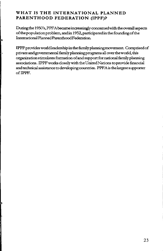### **WHAT IS THE INTERNATIONAL PLANNED PARENTHOOD FEDERATION (IPPF)?**

•

İ٦

Ļ

During the 1950's, PPFA became increasingly concemed with the overall aspects of the population problem, and in 1952, participatedin the founding of the International Planned Parenthood Federation.

IPPF provides worldleadership in the family planning movement. Comprised of private and governmental family planningprogrnms all over the world, this organization stimulates fonnation of and support for national family planning associations. IPPFworks closely with the United Nations to provide financial and technical assistance to developing countries. PPF Ais thelargestsupporter ofIPPF.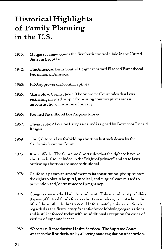# **Historical Highlights of Family Planning in the U.S.**

1916: Margaret Sanger opens the first birth control clinic in the United States in Brooklyn.

.<br>ا

- 1942: The American Birth Control League renamed Planned Parenthood Federation of America.
- 1960: FDA approves oral contraceptives.
- 1965: Griswold v. Connecticut. The Supreme Court rules that laws restricting married people from using contraceptives are an unconstitutional invasion of privacy.
- 1965: Planned Parenthood Los Angeles formed.
- 1967: Therapeutic Abortion Law passes and is signed by Governor Ronald Reagan.
- 1969: The California law forbidding abortion isstruck down by the California Supreme Court.
- 1973: Roe v. Wade. The Supreme Court rules that the right to have an abortion is also included in the "right of privacy" and state laws outlawing abortion are unconstitutional.
- 1975: California passes an amendment to its constitution, giving minors the right to obtain hospital, medical, and surgical care related to prevention and/ or treatment of pregnancy.
- 1976: Congress passes the Hyde Amendment. This amendment prohibits the use of federal funds for any abortion services, except where the life of the mother is threatened. Unfortunately, this restriction is regarded as the first victory for anti-choice lobbying organizations and is still enforced today with an additional exception for cases of victims of rape and incest.
- 1989: Websterv. Reproductive Health Services. The Supreme Court weakens the Roe decision by allowing state regulation of abortion.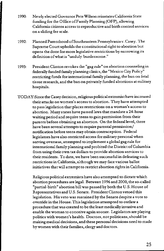- 1990: Newly elected Governor Pete Wilson reinstates California State funding for the Office of Family Planning (OFP), allowing California citizens access to reproductive and birth control services on a sliding fee scale.
- 1992: Planned Parenthood of Southeastern Pennsylvania v. Casey. The Supreme Court upholds the constitutional right to abortion but opens the door for more legislative restrictions by narrowing its definition of what is "unduly burdensome."
- 1993: President Clinton revokes the "gag rule" on abortion counseling in federally funded family planning clinics, the "Mexico City Policy" restricting funds for international family planning, the ban on fetal tissue research, and the ban on privately funded abortions at military hospitals.
- TODA Y:Since the Casey decision, religious political extremist have increased their attacks on women's access to abortion. They have attempted to pass legislation that places restrictions on a woman's access to abortion. Many states have passed laws that mandate a 24-hour waiting period and require teens to gain permission from their parents before obtaining an abortion. On the federallevel, there have been several attempts to require parental permission/ notification before teens may obtain contraception. Federal legislators have also restricted access for military personal when serving overseas, attempted to implement a global gag rule for international family planning and probited the District of Columbia from using their own tax dollars to provide abortion services to their residents. To date, we have been successful in defeating such restrictions in California, although we may face various ballot initiatives that will attempt to restrict abortion rights in California.

Religious political extremists have also attempted to dictate which abortion procedures are legal. Between 1996 and 2000, the so-called "partial-birth" abortion bill was passed by both the U.S. House of Representatives and U.S. Senate. President Clinton vetoed this legislation. His veto was sustained by the Senate despite a vote to override in the House. This legislation attempted to outlaw a procedure that was created to be the least medically invasive and enable the woman to conceive again sooner. Legislators are playing politics with women's health. Doctors, notpoliticans, should be making medical decisions, and these personal decisions need to made by women with their families, clergy and doctors.

25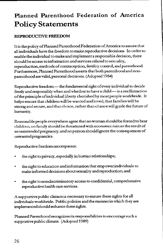### **Planned Parenthood Federation of America Policy Statements**

### **REPRODUCTIVE FREEDOM**

It is the policy of Planned Parenthood Federation of America to assure that all individuals have the freedom to make reproductive decisions. In order to enable the individual to make and implement a responsible decision, there should be access to information and services related to sexuality, reproduction. methods of contraception, fertility control, and parenthood. Furthermore, Planned Parenthood asserts that both parenthoodandnonparenthood are valid, personal decisions. (Adopted 1984)

Reproductive freedom-the fundamental right of every individual to decide freely and responsibly when and whether to have a child-is a reaffirmation of the principle ofindividualliberty cherished by most people worldwide. It helps ensure that children will be wanted and loved, that families will be strong and secure, and that choice, rather than chance will guide the future of humanity.

Reasonable people everywhere agree that no woman should be forced to bear children; no family should be threatened with economic ruin as the result of an unintended pregnancy; and no person should ignore the consequences of unwanted pregnancies.

Reproductive freedom encompasses:

- the right to privacy, especially in human relationships;
- the right to education and information that empower individuals to make informed decisions about sexuality and reproduction; and
- the right to nondiscriminatory access to confidential, comprehensive reproductive health care services.

A supportive public climate is necessary to ensure these rights for all individuals worldwide. Public policies and the manner in which they are implemented should enhance these rights.

Planned Parenthood recognizes its responsibilities to encourage such a supportive public climate. (Adopted 1989)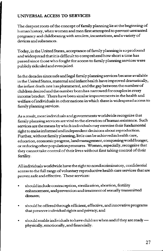### **UNIVERSAL ACCESS TO SERVICES**

The deepest roots of the concept of family planning lie at the beginning of **hmnanhistory, when women and men first attempted topreventunwanted**  pregnancy and childbearing with amulets, incantations, and a variety of devices and substances.

Today, in the United States, acceptance of family planning is so profound and widespread thatitis difficult to comprehend how short a time has **passed since those who fought for access to family planning services were**  publicly ridiculed and even jailed.

In the decades since safe and legal family planning services became available in the United States, matemalandinfanthealth have improved dramatically, the infant death rate has plummeted, and the gap between the number of **children desired and the nwnber born has narrowed for couples in every income bracket. There have been similar improvements in the health and welfare of individuals in other nations in which there is widespread access to**  family planning services.

**As a result, most individuals and governments worldwide recognize that family planning services are vital to the elevation of human existence. Such**  services are the means by which individuals may exercise their fundamental **right to make informed and independent decisions about reproduction.**  Further, without family planning, little can be achieved in health care, **education, economic progress, landmanageinent, conquering world hunger, or reducing other population pressures. Women, especially, recognize that they cannot take control of their lives without first taking control of their**  fertility.

All individuals worldwide have the right to nondiscriminatory, confidential **access to the full range of voluntary reproductive health care services that are proven safe and effective. These services:** 

- should include contraception, sterilization, abortion, fertility **enhancement, and prevention and treatment of sexually transmitted diseases;**
- should be offered through efficient, effective, and innovative programs that preserve individual rights and privacy; and
- should enable individuals to have children when and if they are ready physically, emotionally, and financially.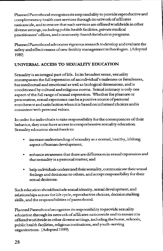**Planned Parenthood recognizes its responsibility to provide reproductive and complementary health care services through its network of affiliates nationwide, and to ensure that such services are offered worldwide in other**  diverse settings, including public health facilities, private medical **practitioners' offices, and community-based distribution programs.** 

Planned Parenthood advocates vigorous research to develop and evaluate the safety and effectiveness of new fertility management technologies. (Adopted 1989)

### **UNIVERSAL ACCESS TO SEXUALITY EDUCATION**

Sexuality is an integral part of life. In its broadest sense, sexuality **encompasses the full expression of an individual's maleness or femaleness, has intellectual and emotional as well as biological dimensions, and is**  conditioned by cultural and religious norms. Sexual intimacy is only one aspect of the full range of sexual expression. Whether for pleasure or **procreation, sexual experience can be a positive source of personal enrichment and satisfaction when it is based oninformedchoices and is consistentwith personal values.** 

**In order for individuals to take responsibility for the consequences of their behavior, they must have access to comprehensive sexuality education.**  Sexuality education should seek to:

- increaseunderstandingofsexualityasanormal,healthy,lifelong **aspect ofhuman development;**
- **enhance awareness that there are differences in sexual expression and that sexuality is a personal.matter; and**
- help individuals understand their sexuality, communicate their sexual **feelings and decisions to others, and accept responsibility for their sexual decisions.**

Such education shouldinclude sexual identity, sexual development, and **relationships across the life cycle, reproductive choices, decision** making **skills, and the responsibilities of parenthood** 

Planned Parenthood recognizes its responsibility to provide sexuality **education through its network of affiliates nationwide and to ensure it is offered worldwide in other diverse settings, including the home, schools,**  public health facilities, religious institutions, and youth-serving organizations. (Adopted 1989)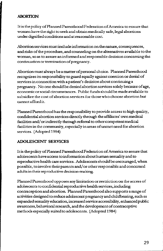### **ABORTION**

It is the policy of Planned Parenthood Federation of America to ensure that **women have the right to seek and obtain medically safe, legal abortions under dignified conditions and at reasonable cost.** 

**Abortion services must include infonnation on the nature, consequences,**  and risks of the procedure, and counseling on the alternatives available to the **woman, so as to assure an informed and responsible decision concexning the continuationorterminationofpregnancy.** 

Abortion must always be a matter of personal choice. Planned Parenthood recognizes its responsibility to guard equally against coercion or denial of **services in connection with a patient's decision about continuing a**  pregnancy. No one should be denied abortion services solely because of age, **economic or social circumstances. Public funds should be made available to subsidize the cost of abortion services for those who choose abortion but cannotaffordit.** 

Planned Parenthood has the responsibility to provide access to high quality, confidential abortion services directly through the affiliates' own medical facilities and/ or indirectly through referral to other competent medical facilities in the community, especially in areas of unmet need for abortion services. (Adopted 1984)

### **ADOLESCENT SERVICES**

**I tis the policy of Planned Parenthood Federation of America to assure that adolescents have access toinfonnation about human sexuality and to reproductive health care services. Adolescents should be encouraged, when**  possible, to involve their parents and/ or other responsible and concerned **adults in their reproductive decision-making.** 

**Planned Parenthood opposes any limitation or restriction on the access of**  adolescents to confidential reproductive health services, including contraception and abortion. Planned Parenthood also supports a range of activities designed to reduce adolescent pregnancy and childbearing, such as expanded sexuality education, increased service accessibility, enhanced public **awareness. behavioral research, and the development of contraceptive**  methods especially suited to adolescents. (Adopted 1984)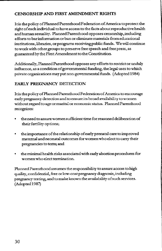### **CENSORSHIP AND FIRST AMENDMENT RIGHTS**

It is the policy of Planned Parenthood Federation of America to protect the right of each individual to have access to the facts about reproductive health and human sexuality. Planned Parenthood opposes censorship, including efforts to bar information or ban or eliminate materials from educational institutions, libraries, or programs receiving public funds. We will continue to work with other groups to preserve free speech and free press, as guaranteed by the First Amendment to the Constitution.

Additionally, Planned Parenthood opposes any efforts to restrict or unduly influence, as a condition of governmental funding, the legal uses to which private organizations may put non-governmental funds. (Adopted 1984)

### **EARLY PREGNANCY DETECTION**

It is the policy of Planned Parenthood Federation of America to encourage early pregnancy detection and to ensure its broad availability to women without regard to age or marital or economic status. Planned Parenthood recognizes:

- the need to assure women sufficient time for reasoned deliberation of their fettility options;
- the importance of the relationship of early prenatal care to improved maternal and neonatal outcomes for women who elect to carry their pregnancies to term; and
- the minimal health risks associated with early abortion procedures for women who elect tennination.

Planned Parenthood assumes the responsibility to assure access to high quality, confidential, free or low-cost pregnancy diagnosis,including pregnancy testing, and to make known the availability of such services. (Adopted 1987)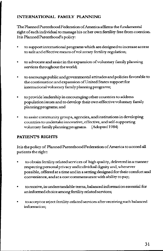### **INTERNATIONAL FAMILY PLANNING**

The Planned Parenthood Federation of America affinns the fundamental right of each individual to manage his or her own fertility free from coercion. It is Planned Parenthood's policy:

- **to support international programs which are designed to increase access**  to safe and effective means of voluntary fertility regulation;
- **to advocate and assist in the expansion of voluntary family planning services throughout the world;**
- **to encourage public and governrnental attitudes and policies favorable to the continuation and expansion ofU nited States support for**  international voluntary family planning programs;
- **to provide leadership in encouraging other countries to address**   $\bullet$ population issues and to develop their own effective voluntary family planningprograms; and
- **to assist community groups, agencies, and institutions in developing countries to undertake innovative, effective, and self-supporting**  voluntary family planning programs. (Adopted 1984)

### **PATIENT'S RIGHTS**

It is the policy of Planned Parenthood Federation of America to accord all patients the right:

- to obtain fertility related services of high quality, delivered in a manner respectingpersonal privacy andindividual dignity and, whenever possible, offered at a time and in a setting designed for their comfort and convenience, and at a cost commensurate with ability to pay;
- **toreceive,in W1derstandable terms, balancedinfonnationessential for**  an informed choice among fertility related services;
- **to accept or reject fertility-related services after receiving such balanced infonnation;**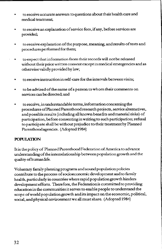- **to receive accurate answers to questions about their health care and**  medical treatment;
- **to receive an explanation of service fees,if** any, **before services are**  provided;
- **to receive explanation of the purpose, meaning, and results of tests and**  procedures performed for them;
- **to expect that information from their records will not be released without their prior written consent except in medical emergencies and as**  otherwise validly provided by law;
- to receive instruction in self-care for the intervals between visits;
- **to be advised of the name of a person to whom their comments on services can be directed; and**
- to receive, in understandable terms, information concerning the **procedures of Planned Parenthood.research projects, service alternatives,**  and possible results (including all known benefits and material risks) of participation, before consenting in writing to such participation; refusal to parricipate shall be without prejudice to their treatment by Planned Parenthood agencies. (Adopted 1984)

### **POPUIATION**

Itis the policy of Planned Parenthood Federation of America to advance understanding of the interrelationship between population growth and the quality ofhurnanlife.

Voluntary family planningprograrns and sound population policies **contribute to the process of socioeconomic development and to family**  health, particularly in countries where rapid population growth hinders **development efforts. Therefore, the Federation is committed to providing education in the communities it serves to enable people to understand the scope of world population growth and its impact on the economic, political,**  social, and physical environment we all must share. (Adopted 1984)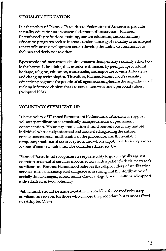### **SEXUALITY EDUCATION**

I tis the policy of Planned Parenthood Federation of America to provide **sexuality education as an essential element of its services. Planned**  Parenthood's professional training, patient education, and community **education programs seek toincreaseunderst.anding of sexuality as an integral**  aspect of human development and to develop the ability to communicate **feelings and decisions to others.** 

By example and instruction, children receive their primary sexuality education in the home. Like adults, they are also influenced by peer groups, cultural **heritage, religion, education, mass media, and exposure tovariedlife-styles**  and changing technologies. Therefore, Planned Parenthood's sexuality **education programs for people of all ages must emphasize the importance of making informed choices that are consistentwith one's personal values.**  (Adopted 1984)

### **VOLUNTARY STERILIZATION**

¢,

I tis the policy of Planned Parenthood Federation of America to support **voluntary sterilization as a medically accepted means of permanent contraception. Voluntary sterilization should be available to any mature**  individual who is fully informed and counseled regarding the nature, **consequences, risks, and benefits of the procedure, and the available**  temporary methods of contraception, and who is capable of deciding upon **a course of action which should be considered irreversible.** 

Planned Parenthood recognizes its responsibility to guard equally against **coercion or denial of services in connection with a patient's decision to seek**  sterilization. Planned Parenthood believes that all providers of sterilization **services must exercise special diligence in assuring that the sterilization of**  socially disadvantaged, economically disadvantaged, or mentally handicapped **individuals is, in fact, volnntary.** 

Public funds should be made available to subsidize the cost of voluntary **sterilization services for those who choose the procedure but cannot afford**  it. (Adopted 1984)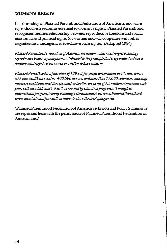### **WOMEN'S RIGHTS**

It is the policy of Planned Parenthood Federation of America to advocate reproductive freedom as essential to women's rights. Planned Parenthood recognizes theinterrelationship betweenreproductive freedom and social, economic, and political rights for women and will cooperate with other organizations and agencies to achieve such rights. (Adopted 1984)

*Planned Parenthood Federation* ef *America, the nation S oldest and largest voluntary reproductive health organization, is dedicated to the principle that every individual has a fundamental right to choose when or whether to have children.* 

*Planned Parenthood is a federation of 129 not-for-profit corporations in 47 states whose 875 plus health care centers, 400,000 donors, and more than 17,000 volunteers and staff members worldwide meet the reproductive health care needs of 3.3 million Americans each year, with an additional 1. 6 million reached* l?J *education programs. Through its international program, Fami/y Planninglnternationa/Assistance, Planned Parenthood serves an additionalfour million individuals in the developing world* 

(Planned Parenthood Federation of America's Mission and Policy Statements are reprinted here with the permission of Planned Parenthood Federation of America, Inc.)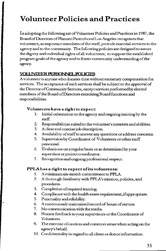# **Volunteer Policies and Practices**

In adopting the following set ofVolunteer Policies and Practices in 1987, the BoardofDirectors of Planned Parenthood Los Angeles recognizes that **volunteers, as important members of the staff, provide essential services to the agency and to the community. The following policies are designed to assure**  the dignity and individual rights of all volunteers; to support the established progtam goals of the agency and to foster community understanding of the agency.

### **VOLUNIEER PERSONNEL POLICIES**

A volunteer is anyone who donates time without monetary compensation for **services. The acceptance of such services shall be subject to the approval of the Director of** Community **Services, except services performed by elected**  members of the Board of Directors exercising Board functions and **responsibilities.** 

### **Volunteers have a right to expect:**

- 1. Initial orientation to the agency and ongoing training by the staff
- **2. Responsibilities suited to the volunteer's interests and abilities.**
- **3. A clear and concise ;oh description.**
- **4. Availability of staff to answer any questions or address concerns.**
- 5. Supervision by Coordinator of Volunteers or other staff personnel.
- **6. Evaluations on a regular basis or as detennined by your supervisor or project coordinator.**
- **7. Recognition and ongoing professional respect.**

### **PPLA.has a right to expect of its volunteers:**

- 1. A minimum six-month commitment to PPLA.
- 2. A thorough familiarity with PPLA's mission, policies, and procedures.
- 3. Completion ofrequired training.
- 4. Compliance with the health exam requirement, if appropriate.
- 5. Punctuality and reliability.
- **6. A continuously maintained record of hours of service.**
- **7. No communication with the media.**
- 8. Honest feedback to your supervisors or the Coordinator of Volunteers.
- **9. The exercise of caution and common sense when acting on the**  agency's behalf.
- **10. Confidentiality in regard to all client or donor infonnation.**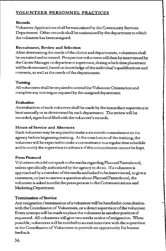### **VOLUNTEER PERSONNEL PRACTICES**

### **Records**

Volunteer Applications shall be maintained by the Community Services Department. Other records shall be maintained by the department to which **the volunteer has been assigned** 

### **Recruitment, Review and Selection**

After detennining the needs of the clinics and departments, volunteers shall **be recruited and screened. Prospective volnnteers will then by interviewed by**  the Center Manager or department supervisor, duringwhich time placement will be determined, based on knowledge of the individual's qualifications and **interests, as well as the needs of the departments.** 

### **Training**

**All volunteers shall be required to attend the Volunteer Orientation and**  complete any training as required by the assigned department.

### **Evaluation**

**An evaluation of each volunteer shall be made by the immediate supervisor at**  least annually or as determined by each department. The review will be **recorded, signed and filed with the volunteer's records.** 

### **Hours of Service and Absences**

**Each volunteer may be required to make a six month commitment to the**  agency before beginning training. At the conclusion of the training, the **volunteer will be expected to make a commitment to a regular time schedule and to notify the supervisor in advance if this commitment cannot be kept.** 

### **Press Protocol**

Volunteers should not speak to the media regarding Planned Parenthood, **unless specifically authorized by the agency to do so. If a volunteer is**  approached by a member of the media and asked to be interviewed, to give a **statement, or just to answer a question about Planned Parenthood, the volunteer is asked to refer the press person to the Communications and**  Marketing Department.

### **Termination of Service**

Any resignation/termination of a volunteer will be handled in consultation **with the Coordinator of Volunteers, ora direct supervisor of the volunteer. Every attempt will be made to place the volunteer in another position if requested. All volunteers will give two weeks notice of resignation. \1v'hen possible, volunteers will be entitled to an exit interview with the supervisor or the Coordinator of Volunteers to provide an opportunity for honest**  feedback.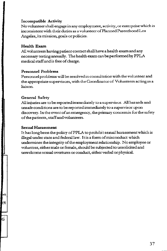#### **Incompatible Activity**

Novolnnteer shall engage in any employment, activity, or enterprise which is inconsistent with their duties as a volunteer of Planned Parenthood Los Angeles, its mission, goals or policies.

#### **Health Exam**

All volnnteers having patient contact shall have a health exam and any necessary testingannually. The health exam can be performed by PPLA medical staff and is free of charge.

#### **Personnel Problems**

Personnel problems will be resolved in consultation with the volunteer and the appropriate supervisors, with the Coordinator of Volunteers acting as a liaison.

#### **General Safety**

All injuries are to be reportedimmediately to a supervisor. All hazards and unsafe conditions are to bereportedimmediately to a supervisor upon discovery. In the event of an emergency, the primary concern is for the safety of the patients, staff and volunteers.

#### Sexual Harassment

rk  $(4)$ 

**G** 

It has long been the policy of PPLA to prohibit sexual harassment which is illegal under state and federal law. I tis a form of misconduct which undermines the integrity of the employment relationship. No employee or volunteer, either male or female, should be subjected to unsolicited and unwelcome sexual overtures or conduct, either verbal or physical.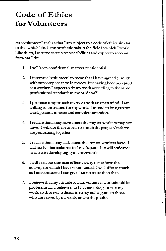# **Code of Ethics for Volunteers**

As a volunteer I realize that I am subject to a code of ethics similar to that which binds the professionals in the field in which I work. Like them, I assume certain responsibilities and expect to account for what I do:

- 1. I will keep confidential matters confidential.
- 2. I interpret "volunteer" to mean that I have agreed to work without compensation in money, but having been accepted as a worker, I expect to do my work according to the same professional standards as the paid staff.
- 3. I promise to approach my work with an open mind. I am willing to be trained for my work. I intend to bring to my work genuine interest and complete attention.
- 4. I realize that I may have assets that my co-workers may not have. I will use these assets to enrich the project/ task we ate performing together.
- 5. I realize that I may lack assets that my co-workers have. I will not let this make me feel inadequate, but will endeavor to assist in developing good teamwork.
- 6. I will seek out the most effective way to perform the activity for which I have volunteered. I will offer as much as I am confident I can give, but no more than that.
- 7. I believe that my attitude towatd volunteerworkshould be professional. I believe that I have an obligation to my work, to those who direct it, tomy colleagues, to those who ate served by my work, and to the public.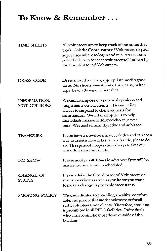### **To Know** & **Remember** ...

| <b>TIME SHEETS</b>                | All volunteers are to keep track of the hours they<br>work. Ask the Coordinator of Volunteers or your<br>supervisor where to log in and out. An accurate<br>record of hours for each volunteer will be kept by<br>the Coordinator of Volunteers.                                 |
|-----------------------------------|----------------------------------------------------------------------------------------------------------------------------------------------------------------------------------------------------------------------------------------------------------------------------------|
| <b>DRESS CODE</b>                 | Dress should be clean, appropriate, and in good<br>taste. No shorts, sweatpants, torn jeans, halter<br>tops, beach thongs, or bare feet.                                                                                                                                         |
| INFORMATION,<br>NOT OPINIONS      | We cannot impose our personal opinions and<br>judgements on our clients. It is our policy<br>always to respond to client requests for<br>information. We offer all options to help<br>individuals make an informed choice, never<br>ours. We must remain objective and unbiased. |
| TEAMWORK                          | If you have a slowdown in your duties and can see a<br>way to assist a co-worker who is frantic, please do<br>so. The spirit of cooperation always makes our<br>work flow more smoothly.                                                                                         |
| NO SHOW                           | Please notify us 48 hours in advance if you will be<br>unable to come in when scheduled.                                                                                                                                                                                         |
| <b>CHANGE OF</b><br><b>STATUS</b> | Please advise the Coordinator of Volunteers or<br>your supervisor as soon as you know you want<br>to make a change in your volunteer status.                                                                                                                                     |
| SMOKING POLICY                    | We are dedicated to providing a healthy, comfort-<br>able, and productive work environment for all<br>staff, volunteers, and clients. Therefore, smoking<br>is prohibited in all PPLA facilities. Individuals<br>who wish to smoke must do so outside of the<br>building.        |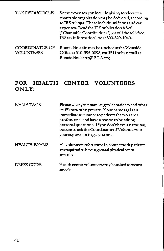| TAX DEDUCTIONS                             | Some expenses you incur in giving services to a<br>charitable organization may be deducted, according<br>to IRS rulings. These include uniforms and car<br>expenses. Read the IRS publication #526<br>("Charitable Contributions"), or call the toll-free<br>IRS tax information line at 800-829-1040. |
|--------------------------------------------|--------------------------------------------------------------------------------------------------------------------------------------------------------------------------------------------------------------------------------------------------------------------------------------------------------|
| <b>COORDINATOR OF</b><br><b>VOLUNTEERS</b> | Bonnie Bricklin may be reached at the Westside<br>Office at 310-395-0098, ext 3511 or by e-mail at<br>Bonnie.Bricklin@PP-LA.org.                                                                                                                                                                       |

### **FOR HEALTH CENTER VOLUNTEERS ONLY:**

| <b>NAME TAGS</b>    | Please wear your name tag to let patients and other<br>staff know who you are. Your name tag is an<br>immediate assurance to patients that you are a<br>professional and have a reason to be asking<br>personal questions. If you don't have a name tag,<br>be sure to ask the Coordinator of Volunteers or<br>your supervisor to get you one. |
|---------------------|------------------------------------------------------------------------------------------------------------------------------------------------------------------------------------------------------------------------------------------------------------------------------------------------------------------------------------------------|
| <b>HEALTH EXAMS</b> | All volunteers who come in contact with patients<br>are required to have a general physical exam<br>annually.                                                                                                                                                                                                                                  |
| <b>DRESS CODE</b>   | Health center volunteers may be asked to wear a<br>smock.                                                                                                                                                                                                                                                                                      |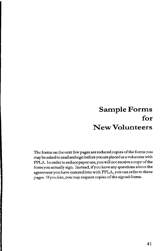### **Sample Forms for New Volunteers**

The fonns on the next few pages are reduced copies of the forms you may be asked to read and sign before you are placed as a volunteer with PPLA. In order to reduce paper use, you will not receive a copy of the form you actually sign. Instead, if you have any questions about the agreement you have entered into with PPLA, you can refer to these pages. If you like, you may request copies of the signed forms.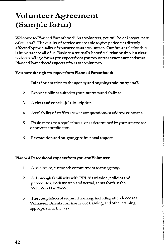# **Volunteer Agreement (Sample form)**

Welcome to Planned Parenthood! As a volunteer, you will be an integral part of our staff. The quality of service we are able to give patients is directly affected by the quality of your service as a volunteer. Our future relationship is important to all of us. Basic to a mutually beneficial relationship is a clear understanding of what you expect from your volunteer experience and what Planned Parenthood expects of you as a volunteer.

### You have the right to expect from Planned Parenthood:

- 1. Initial orientation to the agency and ongoing training by staff.
- 2. Responsibilities suited to your interests and abilities.
- 3. Aclearandconcisejobdescription.
- 4. Availability of staff to answer any questions oraddress concerns.
- 5. Evaluations on a regular basis, oras detennined by your supervisor or project coordinator.
- 6. Recognition and on-going professional respect.

### Planned Parenthood expects from you, the Volunteer:

- 1. A minimum, six month commitment to the agency.
- 2. A thorough familiarity with PPLA's mission, policies and procedures, both written and verbal, as set forth in the Volunteer Handbook
- 3. The completion of required training, including attendence at a Vohmteer Orientation, in-service training, and other training appropriate to the task.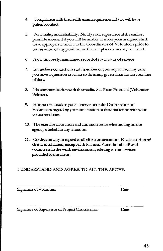- 4. Compliance with the health examrequirementifyouwillhave patient contact.
- 5. Punctuality and reliability. Notify yoursupervisorat the earliest possible moment if you will be unable to make your assigned shift. Give appropriate notice to the Coordinator of Volunteers prior to tennination of any position, so that a replacement may be found.
- 6. A continuously maintained record of your hours of service.
- 7. Immediate contact of a staff member or your supervisor any time you have a question on what to do in any given situation in your line of duty.
- 8. No communication with the media. See Press Protocol (Volunteer Policies).
- 9. Honest feedback to your supervisor or the Coordinator of Volunteers regarding your satisfaction or dissatisfaction with your volunteer duties.
- 10. The exercise of caution and common sense when acting on the agency's behalf in any situation.
- 11. Confidentiality in regard to all client information. No discussion of clients is tolerated, except with Planned Parenthood staff and volunteers in the work envirorunent, relating to the services provided to the client.

### I UNDERSTAND AND AGREE TO ALL THE ABOVE.

Signature of Volunteer Date

Signarure of Supervisor or Project Coordinator Date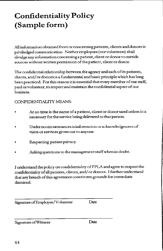# **Confidentiality Policy (Sample form)**

All information obtained from or concerning patients, clients and donors is priviledgedcommunication. Neither employees (norvolunteers) shall divulge any information concerning a patient, client or donor to outside sources without written pennission of the patient, client or donor.

The confidential relationship between the agency and each ofits patients, clients, and/ or donors is a fundamental and basic principle which has long been practiced. For this reason itis essential that every member of our staff, paid or volunteer, to respect and maintain the confidential aspect of our business.

### CONFIDENTIALITY MEANS:

- At no time is the name of a patient, client or donor used unless it is necessary for the service being delivered to that person.
- Under no circumstances is information or acknowledgement of visits or services given out to anyone.
- Respecting patient privacy.
- Asking questions to the management staff when in doubt.

I understand the policy on confidentiality of PPLA and agree to respect the confidentiality of all patients, clients, and/ or donors. I further understand that any breach of this agreement constitutes grounds for immediate dismissal.

| Signature of Employee/Volunteer |  | Date |  |
|---------------------------------|--|------|--|
|                                 |  |      |  |

Signature of Witness Date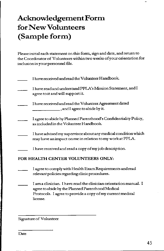# **Acknowledgement Form for New Volunteers (Sample form)**

**Please initial each statement on this fonn, sign and date, and return to the Coordinator of Volunteers within two weeks of your orientation for inclusion in your personnel file.** 

| I have received and read the Volunteer Handbook.                                                                           |
|----------------------------------------------------------------------------------------------------------------------------|
| I have read and understand PPLA's Mission Statement, and I<br>agree to it and will support it.                             |
| I have received and read the Volunteer Agreement dated<br>, and I agree to abide by it.                                    |
| I agree to abide by Planned Parenthood's Confidentiality Policy,<br>as included in the Volunteer Handbook.                 |
| I have advised my supervisor about any medical condition which<br>may have an impact on me in relation to my work at PPLA. |
| I have received and read a copy of my job description.                                                                     |
| FOR HEALTH CENTER VOLUNTEERS ONLY:                                                                                         |
| I agree to comply with Health Exam Requirements and read<br>relevant policies regarding clinic procedures.                 |

**I am a clinician. I have read the clinician orientation manual. I**  agree to abide by the Planned Parenthood Medical **Protocols. I agree to provide a copy of my current medical license.** 

Signature of Volunteer

Date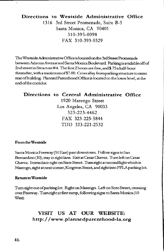### **Directions to Westside Administrative Office**

1316 3rd Street Promenade, Suite B-5 Santa Monica, CA 90401 310-39 5-0098 FAX 310-393-9529

The Westside Administrative Office is located on the 3rd Street Promenade betweenArizonaAvenueandSantaMonicaBoulevard. Parkingisavailableoffof 2ndstreetinStructure#4. Thefirst2hoursarefree,and\$.75ahalf-hout thereafter, with a maximum of \$7.00. Cross alley from parking structure to enter rearofbuilding. Planned Parenthood Office is located on the lower level, at the end of the corridor.

### **Directions to Central Administrative Office**  1920 Marengo Street Los Angeles, CA 90033 323-223-4462 FAX 323-225-5844 TDD 323-221-2532

#### **From the Westside**

Santa Monica Freeway (10 East) past downtown. Follow signs to San Bernardino(10), stay in right lane. Exit at Cesar Chavez. Turn left on Cesar Chavez. Immediate right on State Street. Turn right at second light which is Marengo, right at next comer, Kingston Street, and right into PPLA parking lot.

#### **Return to Westside**

Turn right out of parking lot. Right on Marengo. Left on Soto Street, crossing over Freeway. Turn right at first ramp, following signs to Santa Monica (10 West).

### **VISIT US AT OUR WEBSITE: http://www.plannedparenthood-la.org**